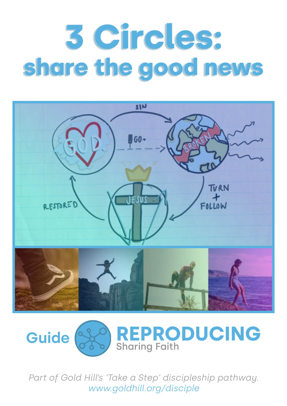# **3 Circles: share the good news**





*Part of Gold Hill's 'Take a Step' discipleship pathway. [www.goldhill.org/disciple](http://www.goldhill.org/disciple)*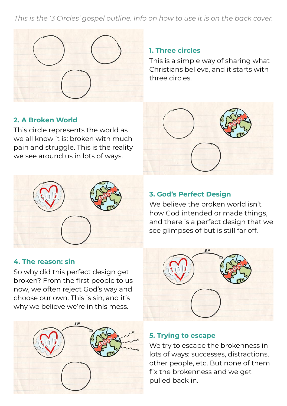*This is the '3 Circles' gospel outline. Info on how to use it is on the back cover.*



#### **1. Three circles**

This is a simple way of sharing what Christians believe, and it starts with three circles.

### **2. A Broken World**

This circle represents the world as we all know it is: broken with much pain and struggle. This is the reality we see around us in lots of ways.



#### **4. The reason: sin**

So why did this perfect design get broken? From the first people to us now, we often reject God's way and choose our own. This is sin, and it's why we believe we're in this mess.



#### **3. God's Perfect Design**

We believe the broken world isn't how God intended or made things, and there is a perfect design that we see glimpses of but is still far off.



#### **5. Trying to escape**

We try to escape the brokenness in lots of ways: successes, distractions, other people, etc. But none of them fix the brokenness and we get pulled back in.

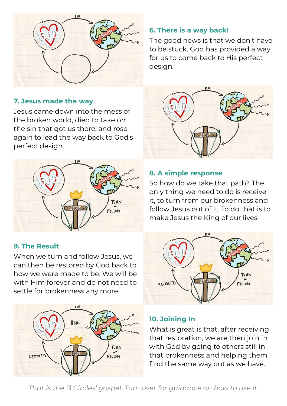

# **6. There is a way back!**

The good news is that we don't have to be stuck. God has provided a way for us to come back to His perfect design.

### **7. Jesus made the way**

Jesus came down into the mess of the broken world, died to take on the sin that got us there, and rose again to lead the way back to God's perfect design.



## **9. The Result**

When we turn and follow Jesus, we can then be restored by God back to how we were made to be. We will be with Him forever and do not need to settle for brokenness any more.





### **8. A simple response**

So how do we take that path? The only thing we need to do is receive it, to turn from our brokenness and follow Jesus out of it. To do that is to make Jesus the King of our lives.



### **10. Joining In**

What is great is that, after receiving that restoration, we are then join in with God by going to others still in that brokenness and helping them find the same way out as we have.

*That is the '3 Circles' gospel. Turn over for guidance on how to use it.*